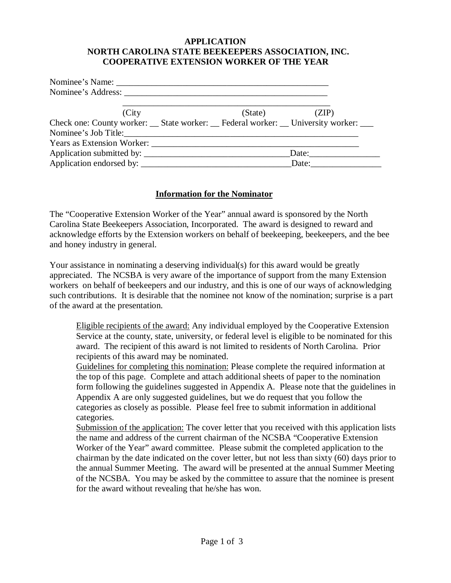## **APPLICATION NORTH CAROLINA STATE BEEKEEPERS ASSOCIATION, INC. COOPERATIVE EXTENSION WORKER OF THE YEAR**

| (City)                                                                                 | (State) | (ZIP) |
|----------------------------------------------------------------------------------------|---------|-------|
| Check one: County worker: __ State worker: __ Federal worker: __ University worker: __ |         |       |
| Nominee's Job Title:                                                                   |         |       |
|                                                                                        |         |       |
|                                                                                        |         |       |
|                                                                                        |         |       |

## **Information for the Nominator**

The "Cooperative Extension Worker of the Year" annual award is sponsored by the North Carolina State Beekeepers Association, Incorporated. The award is designed to reward and acknowledge efforts by the Extension workers on behalf of beekeeping, beekeepers, and the bee and honey industry in general.

Your assistance in nominating a deserving individual(s) for this award would be greatly appreciated. The NCSBA is very aware of the importance of support from the many Extension workers on behalf of beekeepers and our industry, and this is one of our ways of acknowledging such contributions. It is desirable that the nominee not know of the nomination; surprise is a part of the award at the presentation.

Eligible recipients of the award: Any individual employed by the Cooperative Extension Service at the county, state, university, or federal level is eligible to be nominated for this award. The recipient of this award is not limited to residents of North Carolina. Prior recipients of this award may be nominated.

Guidelines for completing this nomination: Please complete the required information at the top of this page. Complete and attach additional sheets of paper to the nomination form following the guidelines suggested in Appendix A. Please note that the guidelines in Appendix A are only suggested guidelines, but we do request that you follow the categories as closely as possible. Please feel free to submit information in additional categories.

Submission of the application: The cover letter that you received with this application lists the name and address of the current chairman of the NCSBA "Cooperative Extension Worker of the Year" award committee. Please submit the completed application to the chairman by the date indicated on the cover letter, but not less than sixty (60) days prior to the annual Summer Meeting. The award will be presented at the annual Summer Meeting of the NCSBA. You may be asked by the committee to assure that the nominee is present for the award without revealing that he/she has won.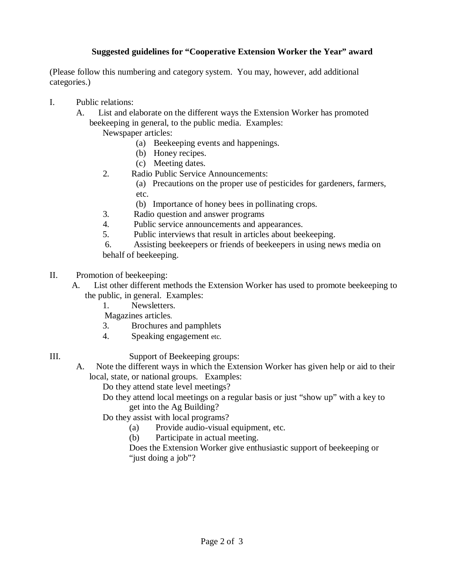## **Suggested guidelines for "Cooperative Extension Worker the Year" award**

(Please follow this numbering and category system. You may, however, add additional categories.)

- I. Public relations:
	- A. List and elaborate on the different ways the Extension Worker has promoted beekeeping in general, to the public media. Examples:

Newspaper articles:

- (a) Beekeeping events and happenings.
- (b) Honey recipes.
- (c) Meeting dates.
- 2. Radio Public Service Announcements:
	- (a) Precautions on the proper use of pesticides for gardeners, farmers, etc.
	- (b) Importance of honey bees in pollinating crops.
- 3. Radio question and answer programs
- 4. Public service announcements and appearances.
- 5. Public interviews that result in articles about beekeeping.
- 6. Assisting beekeepers or friends of beekeepers in using news media on behalf of beekeeping.
- II. Promotion of beekeeping:
	- A. List other different methods the Extension Worker has used to promote beekeeping to the public, in general. Examples:
		- 1. Newsletters.
		- Magazines articles.
		- 3. Brochures and pamphlets
		- 4. Speaking engagement etc.
- 

## III. Support of Beekeeping groups:

A. Note the different ways in which the Extension Worker has given help or aid to their local, state, or national groups. Examples:

Do they attend state level meetings?

Do they attend local meetings on a regular basis or just "show up" with a key to get into the Ag Building?

Do they assist with local programs?

- (a) Provide audio-visual equipment, etc.
- (b) Participate in actual meeting.

Does the Extension Worker give enthusiastic support of beekeeping or "just doing a job"?